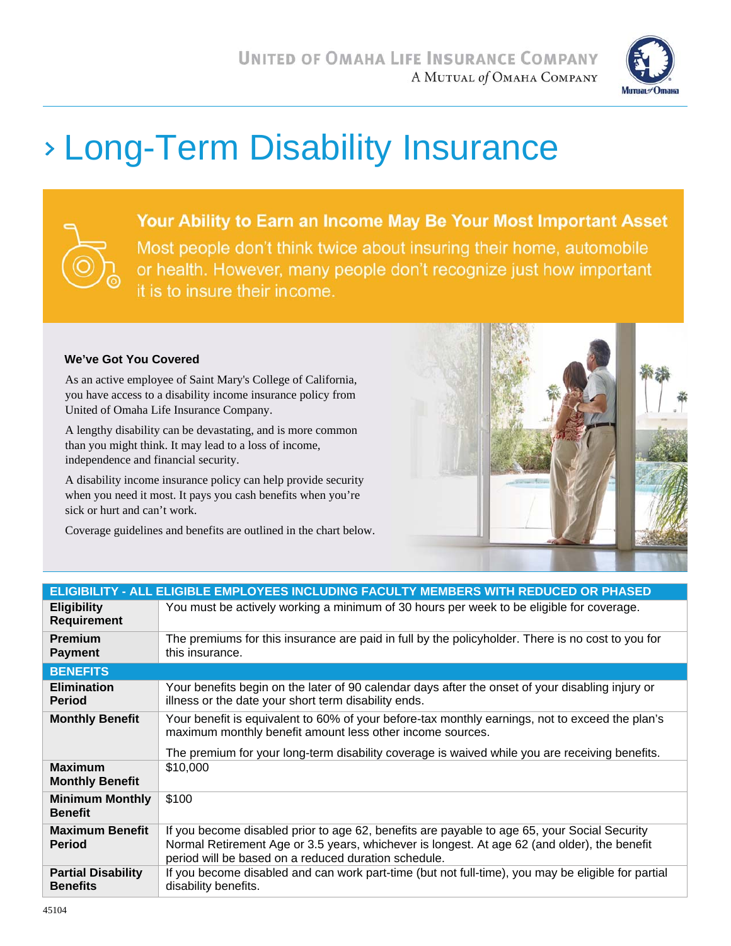

# Long-Term Disability Insurance



Your Ability to Earn an Income May Be Your Most Important Asset Most people don't think twice about insuring their home, automobile or health. However, many people don't recognize just how important it is to insure their income.

#### **We've Got You Covered**

As an active employee of Saint Mary's College of California, you have access to a disability income insurance policy from United of Omaha Life Insurance Company.

A lengthy disability can be devastating, and is more common than you might think. It may lead to a loss of income, independence and financial security.

A disability income insurance policy can help provide security when you need it most. It pays you cash benefits when you're sick or hurt and can't work.

Coverage guidelines and benefits are outlined in the chart below.



| <u>ELIGIBILITY - ALL ELIGIBL</u> E EMPLOYEES INCLUDING FACULTY MEMBERS WITH REDUCED OR PHASED |                                                                                                                                                                                                                                                      |
|-----------------------------------------------------------------------------------------------|------------------------------------------------------------------------------------------------------------------------------------------------------------------------------------------------------------------------------------------------------|
| <b>Eligibility</b><br><b>Requirement</b>                                                      | You must be actively working a minimum of 30 hours per week to be eligible for coverage.                                                                                                                                                             |
| Premium<br><b>Payment</b>                                                                     | The premiums for this insurance are paid in full by the policyholder. There is no cost to you for<br>this insurance.                                                                                                                                 |
| <b>BENEFITS</b>                                                                               |                                                                                                                                                                                                                                                      |
| <b>Elimination</b><br><b>Period</b>                                                           | Your benefits begin on the later of 90 calendar days after the onset of your disabling injury or<br>illness or the date your short term disability ends.                                                                                             |
| <b>Monthly Benefit</b>                                                                        | Your benefit is equivalent to 60% of your before-tax monthly earnings, not to exceed the plan's<br>maximum monthly benefit amount less other income sources.                                                                                         |
|                                                                                               | The premium for your long-term disability coverage is waived while you are receiving benefits.                                                                                                                                                       |
| <b>Maximum</b><br><b>Monthly Benefit</b>                                                      | \$10,000                                                                                                                                                                                                                                             |
| <b>Minimum Monthly</b><br><b>Benefit</b>                                                      | \$100                                                                                                                                                                                                                                                |
| <b>Maximum Benefit</b><br><b>Period</b>                                                       | If you become disabled prior to age 62, benefits are payable to age 65, your Social Security<br>Normal Retirement Age or 3.5 years, whichever is longest. At age 62 (and older), the benefit<br>period will be based on a reduced duration schedule. |
| <b>Partial Disability</b><br><b>Benefits</b>                                                  | If you become disabled and can work part-time (but not full-time), you may be eligible for partial<br>disability benefits.                                                                                                                           |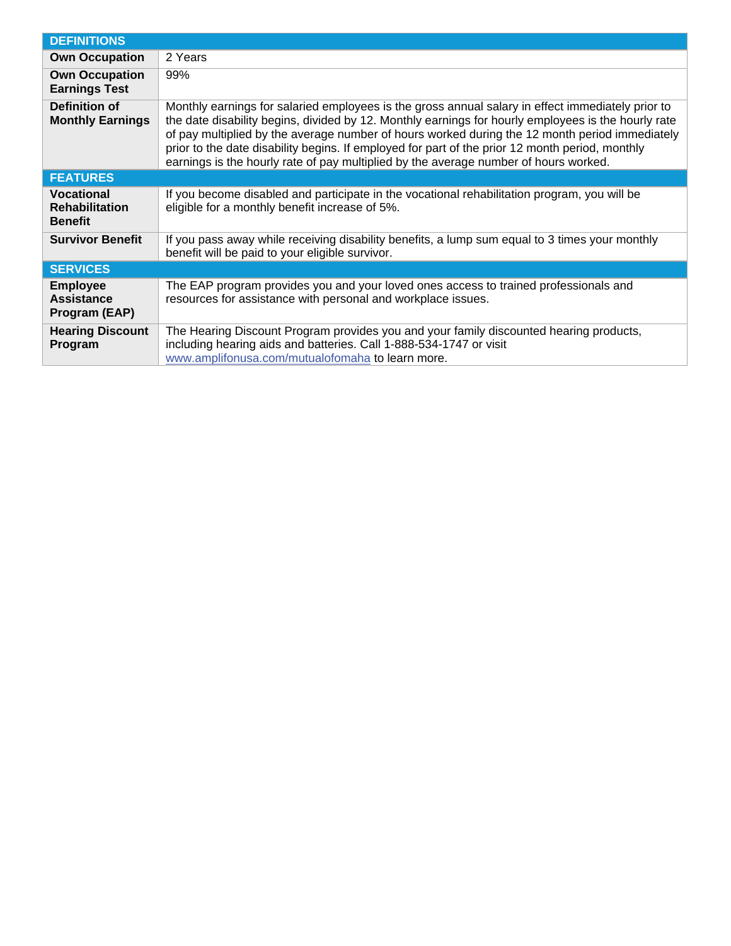| <b>DEFINITIONS</b>                                           |                                                                                                                                                                                                                                                                                                                                                                                                                                                                                                       |
|--------------------------------------------------------------|-------------------------------------------------------------------------------------------------------------------------------------------------------------------------------------------------------------------------------------------------------------------------------------------------------------------------------------------------------------------------------------------------------------------------------------------------------------------------------------------------------|
| <b>Own Occupation</b>                                        | 2 Years                                                                                                                                                                                                                                                                                                                                                                                                                                                                                               |
| <b>Own Occupation</b><br><b>Earnings Test</b>                | 99%                                                                                                                                                                                                                                                                                                                                                                                                                                                                                                   |
| Definition of<br><b>Monthly Earnings</b>                     | Monthly earnings for salaried employees is the gross annual salary in effect immediately prior to<br>the date disability begins, divided by 12. Monthly earnings for hourly employees is the hourly rate<br>of pay multiplied by the average number of hours worked during the 12 month period immediately<br>prior to the date disability begins. If employed for part of the prior 12 month period, monthly<br>earnings is the hourly rate of pay multiplied by the average number of hours worked. |
| <b>FEATURES</b>                                              |                                                                                                                                                                                                                                                                                                                                                                                                                                                                                                       |
| <b>Vocational</b><br><b>Rehabilitation</b><br><b>Benefit</b> | If you become disabled and participate in the vocational rehabilitation program, you will be<br>eligible for a monthly benefit increase of 5%.                                                                                                                                                                                                                                                                                                                                                        |
| <b>Survivor Benefit</b>                                      | If you pass away while receiving disability benefits, a lump sum equal to 3 times your monthly<br>benefit will be paid to your eligible survivor.                                                                                                                                                                                                                                                                                                                                                     |
| <b>SERVICES</b>                                              |                                                                                                                                                                                                                                                                                                                                                                                                                                                                                                       |
| <b>Employee</b><br><b>Assistance</b><br>Program (EAP)        | The EAP program provides you and your loved ones access to trained professionals and<br>resources for assistance with personal and workplace issues.                                                                                                                                                                                                                                                                                                                                                  |
| <b>Hearing Discount</b><br>Program                           | The Hearing Discount Program provides you and your family discounted hearing products,<br>including hearing aids and batteries. Call 1-888-534-1747 or visit<br>www.amplifonusa.com/mutualofomaha to learn more.                                                                                                                                                                                                                                                                                      |